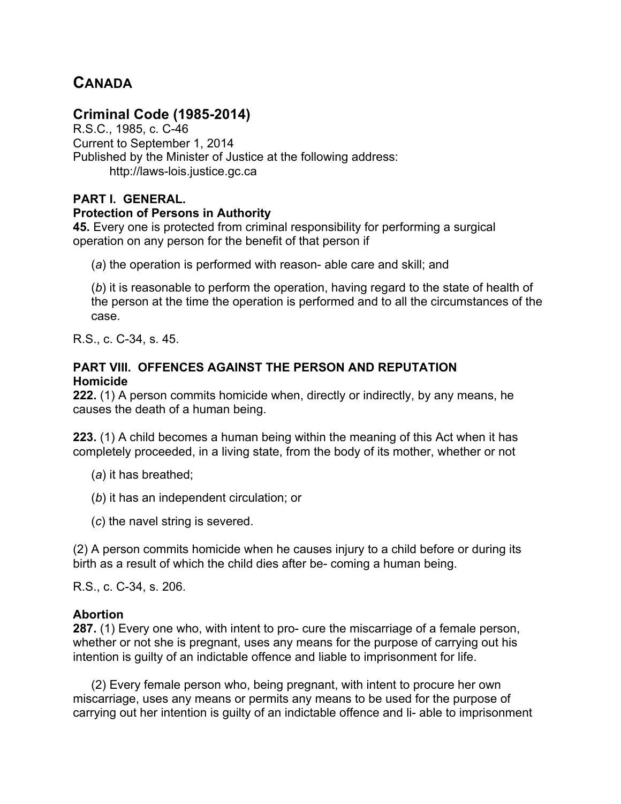# **CANADA**

# **Criminal Code (1985-2014)**

R.S.C., 1985, c. C-46 Current to September 1, 2014 Published by the Minister of Justice at the following address: http://laws-lois.justice.gc.ca

### **PART I. GENERAL.**

#### **Protection of Persons in Authority**

**45.** Every one is protected from criminal responsibility for performing a surgical operation on any person for the benefit of that person if

(*a*) the operation is performed with reason- able care and skill; and

(*b*) it is reasonable to perform the operation, having regard to the state of health of the person at the time the operation is performed and to all the circumstances of the case.

R.S., c. C-34, s. 45.

### **PART VIII. OFFENCES AGAINST THE PERSON AND REPUTATION Homicide**

**222.** (1) A person commits homicide when, directly or indirectly, by any means, he causes the death of a human being.

**223.** (1) A child becomes a human being within the meaning of this Act when it has completely proceeded, in a living state, from the body of its mother, whether or not

- (*a*) it has breathed;
- (*b*) it has an independent circulation; or
- (*c*) the navel string is severed.

(2) A person commits homicide when he causes injury to a child before or during its birth as a result of which the child dies after be- coming a human being.

R.S., c. C-34, s. 206.

### **Abortion**

**287.** (1) Every one who, with intent to pro- cure the miscarriage of a female person, whether or not she is pregnant, uses any means for the purpose of carrying out his intention is guilty of an indictable offence and liable to imprisonment for life.

(2) Every female person who, being pregnant, with intent to procure her own miscarriage, uses any means or permits any means to be used for the purpose of carrying out her intention is guilty of an indictable offence and li- able to imprisonment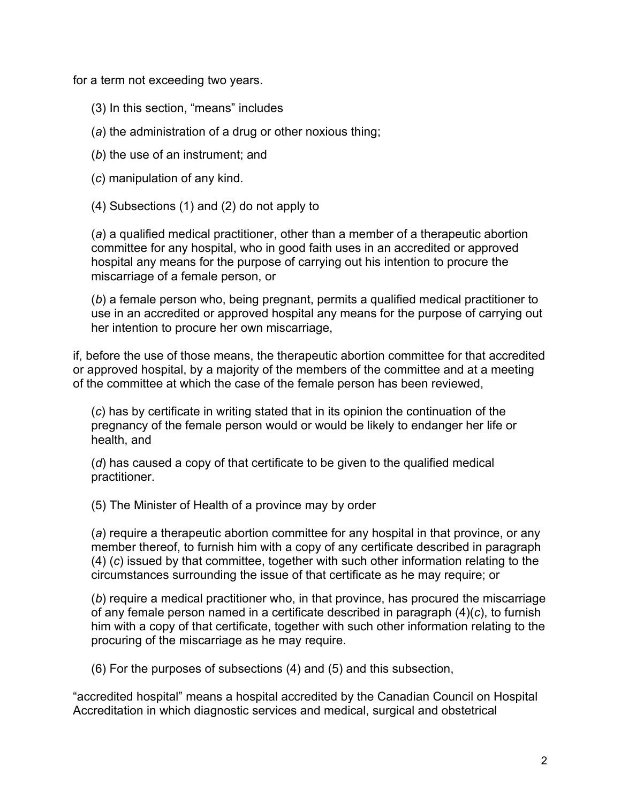for a term not exceeding two years.

- (3) In this section, "means" includes
- (*a*) the administration of a drug or other noxious thing;
- (*b*) the use of an instrument; and
- (*c*) manipulation of any kind.
- (4) Subsections (1) and (2) do not apply to

(*a*) a qualified medical practitioner, other than a member of a therapeutic abortion committee for any hospital, who in good faith uses in an accredited or approved hospital any means for the purpose of carrying out his intention to procure the miscarriage of a female person, or

(*b*) a female person who, being pregnant, permits a qualified medical practitioner to use in an accredited or approved hospital any means for the purpose of carrying out her intention to procure her own miscarriage,

if, before the use of those means, the therapeutic abortion committee for that accredited or approved hospital, by a majority of the members of the committee and at a meeting of the committee at which the case of the female person has been reviewed,

(*c*) has by certificate in writing stated that in its opinion the continuation of the pregnancy of the female person would or would be likely to endanger her life or health, and

(*d*) has caused a copy of that certificate to be given to the qualified medical practitioner.

(5) The Minister of Health of a province may by order

(*a*) require a therapeutic abortion committee for any hospital in that province, or any member thereof, to furnish him with a copy of any certificate described in paragraph (4) (*c*) issued by that committee, together with such other information relating to the circumstances surrounding the issue of that certificate as he may require; or

(*b*) require a medical practitioner who, in that province, has procured the miscarriage of any female person named in a certificate described in paragraph (4)(*c*), to furnish him with a copy of that certificate, together with such other information relating to the procuring of the miscarriage as he may require.

(6) For the purposes of subsections (4) and (5) and this subsection,

"accredited hospital" means a hospital accredited by the Canadian Council on Hospital Accreditation in which diagnostic services and medical, surgical and obstetrical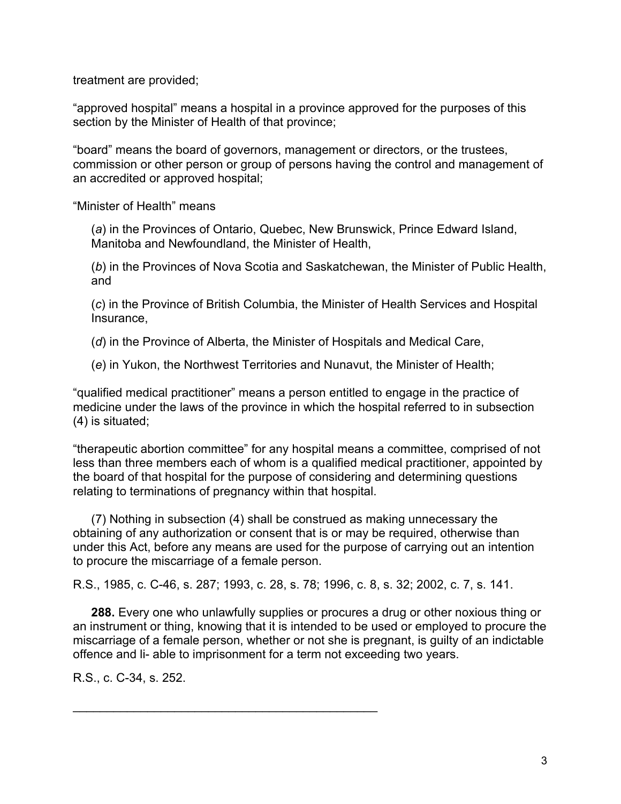treatment are provided;

"approved hospital" means a hospital in a province approved for the purposes of this section by the Minister of Health of that province;

"board" means the board of governors, management or directors, or the trustees, commission or other person or group of persons having the control and management of an accredited or approved hospital;

"Minister of Health" means

(*a*) in the Provinces of Ontario, Quebec, New Brunswick, Prince Edward Island, Manitoba and Newfoundland, the Minister of Health,

(*b*) in the Provinces of Nova Scotia and Saskatchewan, the Minister of Public Health, and

(*c*) in the Province of British Columbia, the Minister of Health Services and Hospital Insurance,

(*d*) in the Province of Alberta, the Minister of Hospitals and Medical Care,

(*e*) in Yukon, the Northwest Territories and Nunavut, the Minister of Health;

"qualified medical practitioner" means a person entitled to engage in the practice of medicine under the laws of the province in which the hospital referred to in subsection (4) is situated;

"therapeutic abortion committee" for any hospital means a committee, comprised of not less than three members each of whom is a qualified medical practitioner, appointed by the board of that hospital for the purpose of considering and determining questions relating to terminations of pregnancy within that hospital.

(7) Nothing in subsection (4) shall be construed as making unnecessary the obtaining of any authorization or consent that is or may be required, otherwise than under this Act, before any means are used for the purpose of carrying out an intention to procure the miscarriage of a female person.

R.S., 1985, c. C-46, s. 287; 1993, c. 28, s. 78; 1996, c. 8, s. 32; 2002, c. 7, s. 141.

\_\_\_\_\_\_\_\_\_\_\_\_\_\_\_\_\_\_\_\_\_\_\_\_\_\_\_\_\_\_\_\_\_\_\_\_\_\_\_\_\_\_\_\_\_

**288.** Every one who unlawfully supplies or procures a drug or other noxious thing or an instrument or thing, knowing that it is intended to be used or employed to procure the miscarriage of a female person, whether or not she is pregnant, is guilty of an indictable offence and li- able to imprisonment for a term not exceeding two years.

R.S., c. C-34, s. 252.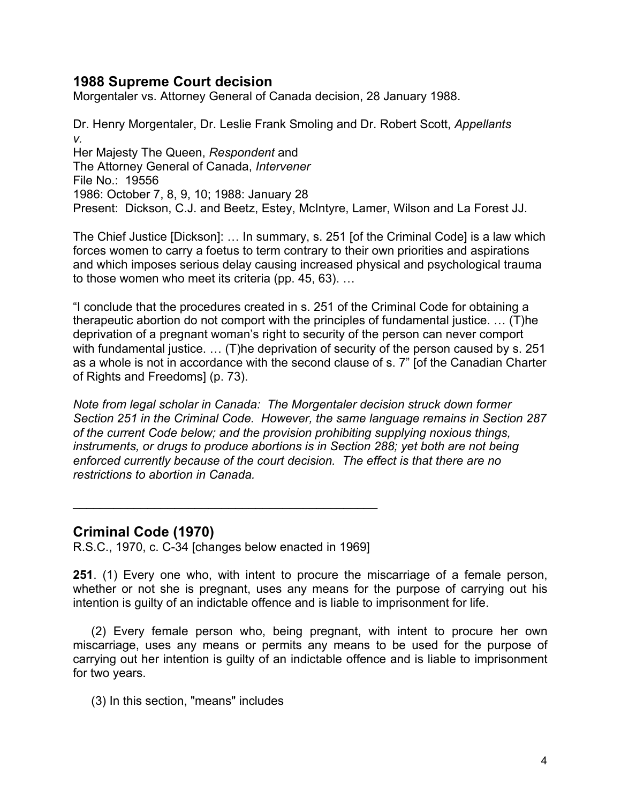# **1988 Supreme Court decision**

Morgentaler vs. Attorney General of Canada decision, 28 January 1988.

Dr. Henry Morgentaler, Dr. Leslie Frank Smoling and Dr. Robert Scott, *Appellants v.*  Her Majesty The Queen, *Respondent* and The Attorney General of Canada, *Intervener* File No.: 19556 1986: October 7, 8, 9, 10; 1988: January 28 Present: Dickson, C.J. and Beetz, Estey, McIntyre, Lamer, Wilson and La Forest JJ.

The Chief Justice [Dickson]: … In summary, s. 251 [of the Criminal Code] is a law which forces women to carry a foetus to term contrary to their own priorities and aspirations and which imposes serious delay causing increased physical and psychological trauma to those women who meet its criteria (pp. 45, 63). …

"I conclude that the procedures created in s. 251 of the Criminal Code for obtaining a therapeutic abortion do not comport with the principles of fundamental justice. … (T)he deprivation of a pregnant woman's right to security of the person can never comport with fundamental justice. ... (T)he deprivation of security of the person caused by s. 251 as a whole is not in accordance with the second clause of s. 7" [of the Canadian Charter of Rights and Freedoms] (p. 73).

*Note from legal scholar in Canada: The Morgentaler decision struck down former Section 251 in the Criminal Code. However, the same language remains in Section 287 of the current Code below; and the provision prohibiting supplying noxious things, instruments, or drugs to produce abortions is in Section 288; yet both are not being enforced currently because of the court decision. The effect is that there are no restrictions to abortion in Canada.* 

# **Criminal Code (1970)**

R.S.C., 1970, c. C-34 [changes below enacted in 1969]

\_\_\_\_\_\_\_\_\_\_\_\_\_\_\_\_\_\_\_\_\_\_\_\_\_\_\_\_\_\_\_\_\_\_\_\_\_\_\_\_\_\_\_\_\_

**251**. (1) Every one who, with intent to procure the miscarriage of a female person, whether or not she is pregnant, uses any means for the purpose of carrying out his intention is guilty of an indictable offence and is liable to imprisonment for life.

(2) Every female person who, being pregnant, with intent to procure her own miscarriage, uses any means or permits any means to be used for the purpose of carrying out her intention is guilty of an indictable offence and is liable to imprisonment for two years.

(3) In this section, "means" includes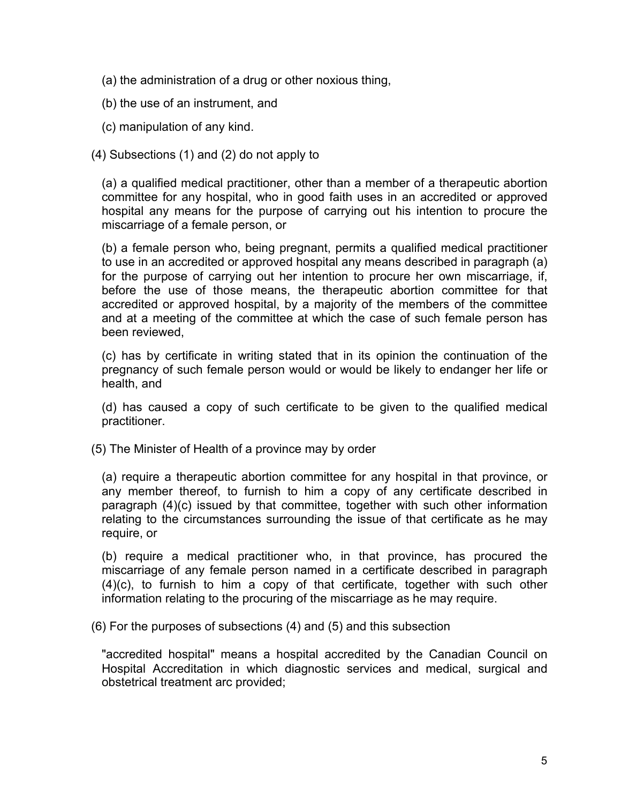(a) the administration of a drug or other noxious thing,

(b) the use of an instrument, and

(c) manipulation of any kind.

(4) Subsections (1) and (2) do not apply to

(a) a qualified medical practitioner, other than a member of a therapeutic abortion committee for any hospital, who in good faith uses in an accredited or approved hospital any means for the purpose of carrying out his intention to procure the miscarriage of a female person, or

(b) a female person who, being pregnant, permits a qualified medical practitioner to use in an accredited or approved hospital any means described in paragraph (a) for the purpose of carrying out her intention to procure her own miscarriage, if, before the use of those means, the therapeutic abortion committee for that accredited or approved hospital, by a majority of the members of the committee and at a meeting of the committee at which the case of such female person has been reviewed,

(c) has by certificate in writing stated that in its opinion the continuation of the pregnancy of such female person would or would be likely to endanger her life or health, and

(d) has caused a copy of such certificate to be given to the qualified medical practitioner.

(5) The Minister of Health of a province may by order

(a) require a therapeutic abortion committee for any hospital in that province, or any member thereof, to furnish to him a copy of any certificate described in paragraph (4)(c) issued by that committee, together with such other information relating to the circumstances surrounding the issue of that certificate as he may require, or

(b) require a medical practitioner who, in that province, has procured the miscarriage of any female person named in a certificate described in paragraph (4)(c), to furnish to him a copy of that certificate, together with such other information relating to the procuring of the miscarriage as he may require.

(6) For the purposes of subsections (4) and (5) and this subsection

"accredited hospital" means a hospital accredited by the Canadian Council on Hospital Accreditation in which diagnostic services and medical, surgical and obstetrical treatment arc provided;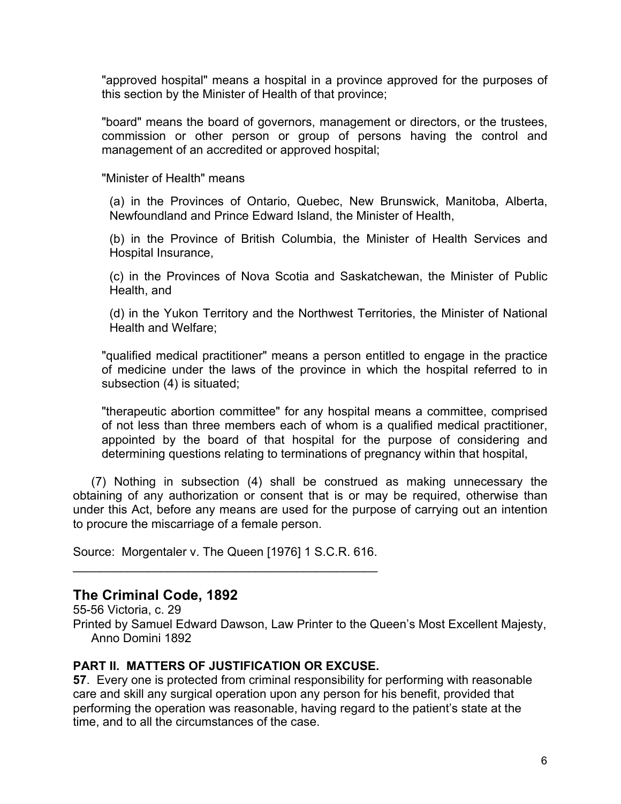"approved hospital" means a hospital in a province approved for the purposes of this section by the Minister of Health of that province;

"board" means the board of governors, management or directors, or the trustees, commission or other person or group of persons having the control and management of an accredited or approved hospital;

"Minister of Health" means

(a) in the Provinces of Ontario, Quebec, New Brunswick, Manitoba, Alberta, Newfoundland and Prince Edward Island, the Minister of Health,

(b) in the Province of British Columbia, the Minister of Health Services and Hospital Insurance,

(c) in the Provinces of Nova Scotia and Saskatchewan, the Minister of Public Health, and

(d) in the Yukon Territory and the Northwest Territories, the Minister of National Health and Welfare;

"qualified medical practitioner" means a person entitled to engage in the practice of medicine under the laws of the province in which the hospital referred to in subsection (4) is situated;

"therapeutic abortion committee" for any hospital means a committee, comprised of not less than three members each of whom is a qualified medical practitioner, appointed by the board of that hospital for the purpose of considering and determining questions relating to terminations of pregnancy within that hospital,

(7) Nothing in subsection (4) shall be construed as making unnecessary the obtaining of any authorization or consent that is or may be required, otherwise than under this Act, before any means are used for the purpose of carrying out an intention to procure the miscarriage of a female person.

Source: Morgentaler v. The Queen [1976] 1 S.C.R. 616. \_\_\_\_\_\_\_\_\_\_\_\_\_\_\_\_\_\_\_\_\_\_\_\_\_\_\_\_\_\_\_\_\_\_\_\_\_\_\_\_\_\_\_\_\_

# **The Criminal Code, 1892**

55-56 Victoria, c. 29 Printed by Samuel Edward Dawson, Law Printer to the Queen's Most Excellent Majesty, Anno Domini 1892

# **PART II. MATTERS OF JUSTIFICATION OR EXCUSE.**

**57**. Every one is protected from criminal responsibility for performing with reasonable care and skill any surgical operation upon any person for his benefit, provided that performing the operation was reasonable, having regard to the patient's state at the time, and to all the circumstances of the case.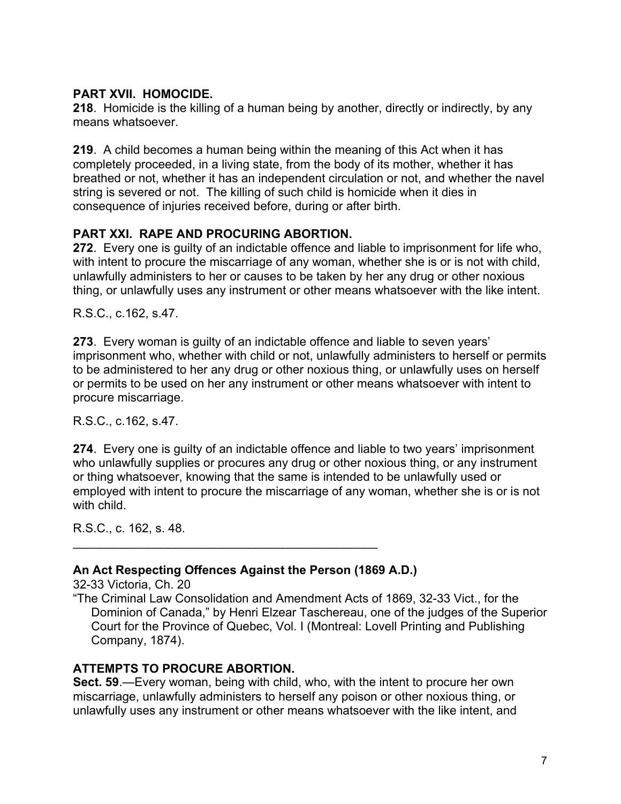# **PART XVII. HOMOCIDE.**

**218**. Homicide is the killing of a human being by another, directly or indirectly, by any means whatsoever.

**219**. A child becomes a human being within the meaning of this Act when it has completely proceeded, in a living state, from the body of its mother, whether it has breathed or not, whether it has an independent circulation or not, and whether the navel string is severed or not. The killing of such child is homicide when it dies in consequence of injuries received before, during or after birth.

# **PART XXI. RAPE AND PROCURING ABORTION.**

**272**. Every one is guilty of an indictable offence and liable to imprisonment for life who, with intent to procure the miscarriage of any woman, whether she is or is not with child, unlawfully administers to her or causes to be taken by her any drug or other noxious thing, or unlawfully uses any instrument or other means whatsoever with the like intent.

R.S.C., c.162, s.47.

**273**. Every woman is guilty of an indictable offence and liable to seven years' imprisonment who, whether with child or not, unlawfully administers to herself or permits to be administered to her any drug or other noxious thing, or unlawfully uses on herself or permits to be used on her any instrument or other means whatsoever with intent to procure miscarriage.

R.S.C., c.162, s.47.

**274**. Every one is guilty of an indictable offence and liable to two years' imprisonment who unlawfully supplies or procures any drug or other noxious thing, or any instrument or thing whatsoever, knowing that the same is intended to be unlawfully used or employed with intent to procure the miscarriage of any woman, whether she is or is not with child.

R.S.C., c. 162, s. 48.

# **An Act Respecting Offences Against the Person (1869 A.D.)**

 $\mathcal{L}_\text{max}$  and  $\mathcal{L}_\text{max}$  and  $\mathcal{L}_\text{max}$  and  $\mathcal{L}_\text{max}$ 

32-33 Victoria, Ch. 20

"The Criminal Law Consolidation and Amendment Acts of 1869, 32-33 Vict., for the Dominion of Canada," by Henri Elzear Taschereau, one of the judges of the Superior Court for the Province of Quebec, Vol. I (Montreal: Lovell Printing and Publishing Company, 1874).

# **ATTEMPTS TO PROCURE ABORTION.**

**Sect. 59**.—Every woman, being with child, who, with the intent to procure her own miscarriage, unlawfully administers to herself any poison or other noxious thing, or unlawfully uses any instrument or other means whatsoever with the like intent, and